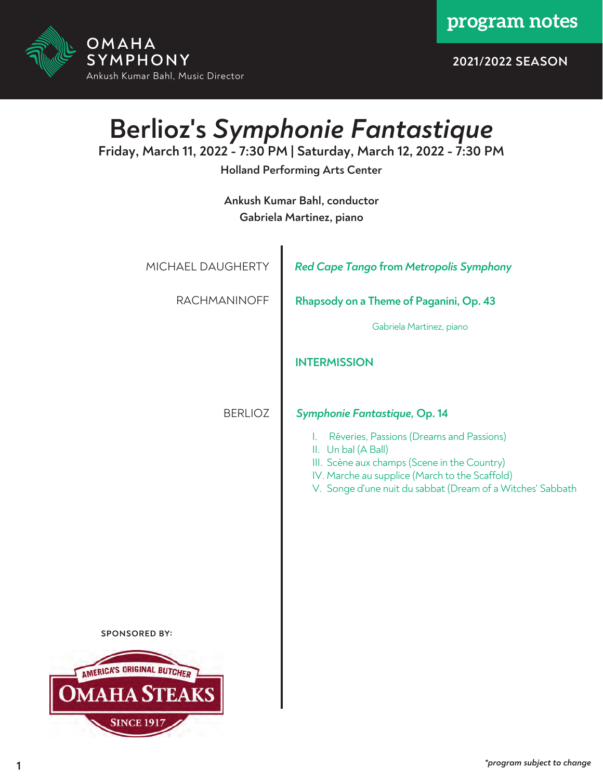**program notes**



**2021/2022 SEASON**

# **Berlioz's** *Symphonie Fantastique*

**Friday, March 11, 2022 - 7:30 PM | Saturday, March 12, 2022 - 7:30 PM**

**Holland Performing Arts Center**

**Ankush Kumar Bahl, conductor Gabriela Martinez, piano**

| MICHAEL DAUGHERTY | <b>Red Cape Tango from Metropolis Symphony</b>                                                                                                                                                                                        |
|-------------------|---------------------------------------------------------------------------------------------------------------------------------------------------------------------------------------------------------------------------------------|
| RACHMANINOFF      | Rhapsody on a Theme of Paganini, Op. 43                                                                                                                                                                                               |
|                   | Gabriela Martinez, piano                                                                                                                                                                                                              |
|                   | <b>INTERMISSION</b>                                                                                                                                                                                                                   |
| <b>BERLIOZ</b>    | Symphonie Fantastique, Op. 14                                                                                                                                                                                                         |
|                   | Rêveries, Passions (Dreams and Passions)<br>L.<br>II. Un bal (A Ball)<br>III. Scène aux champs (Scene in the Country)<br>IV. Marche au supplice (March to the Scaffold)<br>V. Songe d'une nuit du sabbat (Dream of a Witches' Sabbath |
| <b>ISORED BY:</b> |                                                                                                                                                                                                                                       |
| ORIGINAL BUTCHER  |                                                                                                                                                                                                                                       |
|                   |                                                                                                                                                                                                                                       |
| <b>NCE 1917</b>   |                                                                                                                                                                                                                                       |

SPON

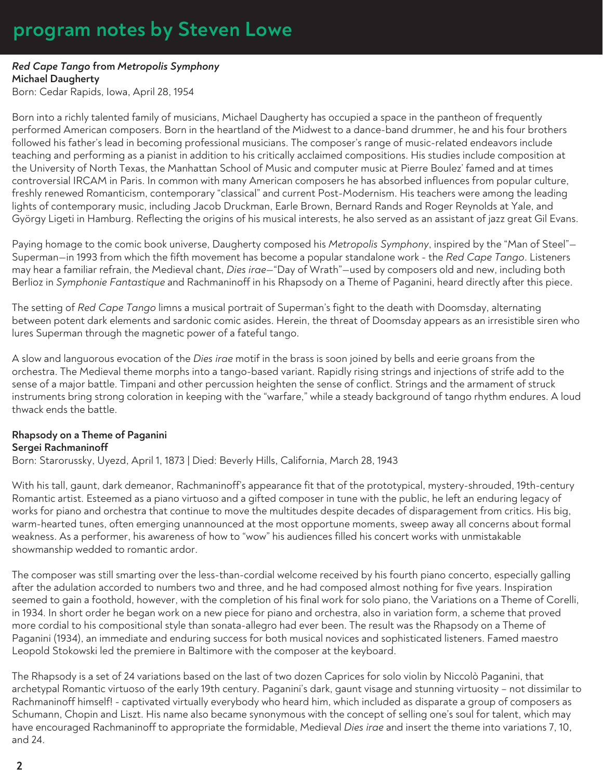# **program notes by Steven Lowe**

#### *Red Cape Tango* **from** *Metropolis Symphony* **Michael Daugherty**

Born: Cedar Rapids, Iowa, April 28, 1954

Born into a richly talented family of musicians, Michael Daugherty has occupied a space in the pantheon of frequently performed American composers. Born in the heartland of the Midwest to a dance-band drummer, he and his four brothers followed his father's lead in becoming professional musicians. The composer's range of music-related endeavors include teaching and performing as a pianist in addition to his critically acclaimed compositions. His studies include composition at the University of North Texas, the Manhattan School of Music and computer music at Pierre Boulez' famed and at times controversial IRCAM in Paris. In common with many American composers he has absorbed influences from popular culture, freshly renewed Romanticism, contemporary "classical" and current Post-Modernism. His teachers were among the leading lights of contemporary music, including Jacob Druckman, Earle Brown, Bernard Rands and Roger Reynolds at Yale, and György Ligeti in Hamburg. Reflecting the origins of his musical interests, he also served as an assistant of jazz great Gil Evans.

Paying homage to the comic book universe, Daugherty composed his *Metropolis Symphony*, inspired by the "Man of Steel"— Superman—in 1993 from which the fifth movement has become a popular standalone work - the *Red Cape Tango*. Listeners may hear a familiar refrain, the Medieval chant, *Dies irae*—"Day of Wrath"—used by composers old and new, including both Berlioz in *Symphonie Fantastique* and Rachmaninoff in his Rhapsody on a Theme of Paganini, heard directly after this piece.

The setting of *Red Cape Tango* limns a musical portrait of Superman's fight to the death with Doomsday, alternating between potent dark elements and sardonic comic asides. Herein, the threat of Doomsday appears as an irresistible siren who lures Superman through the magnetic power of a fateful tango.

A slow and languorous evocation of the *Dies irae* motif in the brass is soon joined by bells and eerie groans from the orchestra. The Medieval theme morphs into a tango-based variant. Rapidly rising strings and injections of strife add to the sense of a major battle. Timpani and other percussion heighten the sense of conflict. Strings and the armament of struck instruments bring strong coloration in keeping with the "warfare," while a steady background of tango rhythm endures. A loud thwack ends the battle.

### **Rhapsody on a Theme of Paganini Sergei Rachmaninoff**

Born: Starorussky, Uyezd, April 1, 1873 | Died: Beverly Hills, California, March 28, 1943

With his tall, gaunt, dark demeanor, Rachmaninoff's appearance fit that of the prototypical, mystery-shrouded, 19th-century Romantic artist. Esteemed as a piano virtuoso and a gifted composer in tune with the public, he left an enduring legacy of works for piano and orchestra that continue to move the multitudes despite decades of disparagement from critics. His big, warm-hearted tunes, often emerging unannounced at the most opportune moments, sweep away all concerns about formal weakness. As a performer, his awareness of how to "wow" his audiences filled his concert works with unmistakable showmanship wedded to romantic ardor.

The composer was still smarting over the less-than-cordial welcome received by his fourth piano concerto, especially galling after the adulation accorded to numbers two and three, and he had composed almost nothing for five years. Inspiration seemed to gain a foothold, however, with the completion of his final work for solo piano, the Variations on a Theme of Corelli, in 1934. In short order he began work on a new piece for piano and orchestra, also in variation form, a scheme that proved more cordial to his compositional style than sonata-allegro had ever been. The result was the Rhapsody on a Theme of Paganini (1934), an immediate and enduring success for both musical novices and sophisticated listeners. Famed maestro Leopold Stokowski led the premiere in Baltimore with the composer at the keyboard.

The Rhapsody is a set of 24 variations based on the last of two dozen Caprices for solo violin by Niccolò Paganini, that archetypal Romantic virtuoso of the early 19th century. Paganini's dark, gaunt visage and stunning virtuosity – not dissimilar to Rachmaninoff himself! - captivated virtually everybody who heard him, which included as disparate a group of composers as Schumann, Chopin and Liszt. His name also became synonymous with the concept of selling one's soul for talent, which may have encouraged Rachmaninoff to appropriate the formidable, Medieval *Dies irae* and insert the theme into variations 7, 10, and 24.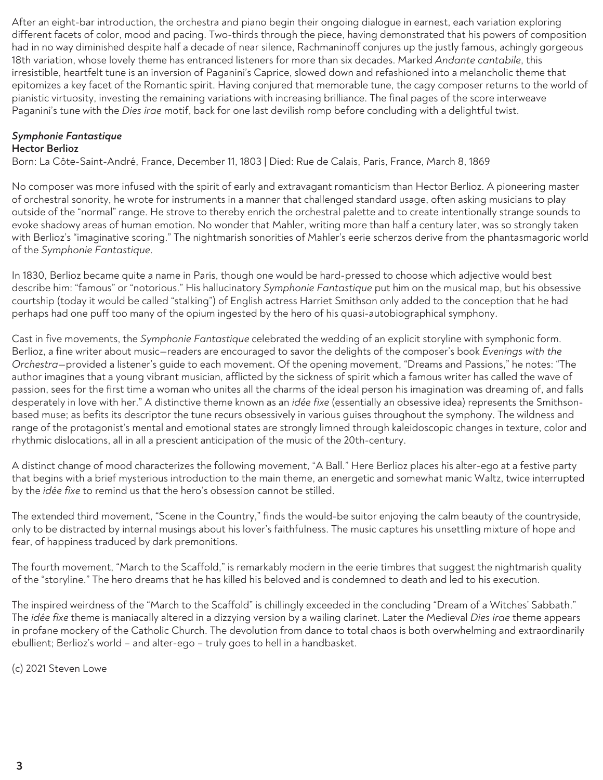After an eight-bar introduction, the orchestra and piano begin their ongoing dialogue in earnest, each variation exploring different facets of color, mood and pacing. Two-thirds through the piece, having demonstrated that his powers of composition had in no way diminished despite half a decade of near silence, Rachmaninoff conjures up the justly famous, achingly gorgeous 18th variation, whose lovely theme has entranced listeners for more than six decades. Marked *Andante cantabile*, this irresistible, heartfelt tune is an inversion of Paganini's Caprice, slowed down and refashioned into a melancholic theme that epitomizes a key facet of the Romantic spirit. Having conjured that memorable tune, the cagy composer returns to the world of pianistic virtuosity, investing the remaining variations with increasing brilliance. The final pages of the score interweave Paganini's tune with the *Dies irae* motif, back for one last devilish romp before concluding with a delightful twist.

### *Symphonie Fantastique*

#### **Hector Berlioz**

Born: La Côte-Saint-André, France, December 11, 1803 | Died: Rue de Calais, Paris, France, March 8, 1869

No composer was more infused with the spirit of early and extravagant romanticism than Hector Berlioz. A pioneering master of orchestral sonority, he wrote for instruments in a manner that challenged standard usage, often asking musicians to play outside of the "normal" range. He strove to thereby enrich the orchestral palette and to create intentionally strange sounds to evoke shadowy areas of human emotion. No wonder that Mahler, writing more than half a century later, was so strongly taken with Berlioz's "imaginative scoring." The nightmarish sonorities of Mahler's eerie scherzos derive from the phantasmagoric world of the *Symphonie Fantastique*.

In 1830, Berlioz became quite a name in Paris, though one would be hard-pressed to choose which adjective would best describe him: "famous" or "notorious." His hallucinatory *Symphonie Fantastique* put him on the musical map, but his obsessive courtship (today it would be called "stalking") of English actress Harriet Smithson only added to the conception that he had perhaps had one puff too many of the opium ingested by the hero of his quasi-autobiographical symphony.

Cast in five movements, the *Symphonie Fantastique* celebrated the wedding of an explicit storyline with symphonic form. Berlioz, a fine writer about music—readers are encouraged to savor the delights of the composer's book *Evenings with the Orchestra*—provided a listener's guide to each movement. Of the opening movement, "Dreams and Passions," he notes: "The author imagines that a young vibrant musician, afflicted by the sickness of spirit which a famous writer has called the wave of passion, sees for the first time a woman who unites all the charms of the ideal person his imagination was dreaming of, and falls desperately in love with her." A distinctive theme known as an *idée fixe* (essentially an obsessive idea) represents the Smithsonbased muse; as befits its descriptor the tune recurs obsessively in various guises throughout the symphony. The wildness and range of the protagonist's mental and emotional states are strongly limned through kaleidoscopic changes in texture, color and rhythmic dislocations, all in all a prescient anticipation of the music of the 20th-century.

A distinct change of mood characterizes the following movement, "A Ball." Here Berlioz places his alter-ego at a festive party that begins with a brief mysterious introduction to the main theme, an energetic and somewhat manic Waltz, twice interrupted by the *idée fixe* to remind us that the hero's obsession cannot be stilled.

The extended third movement, "Scene in the Country," finds the would-be suitor enjoying the calm beauty of the countryside, only to be distracted by internal musings about his lover's faithfulness. The music captures his unsettling mixture of hope and fear, of happiness traduced by dark premonitions.

The fourth movement, "March to the Scaffold," is remarkably modern in the eerie timbres that suggest the nightmarish quality of the "storyline." The hero dreams that he has killed his beloved and is condemned to death and led to his execution.

The inspired weirdness of the "March to the Scaffold" is chillingly exceeded in the concluding "Dream of a Witches' Sabbath." The *idée fixe* theme is maniacally altered in a dizzying version by a wailing clarinet. Later the Medieval *Dies irae* theme appears in profane mockery of the Catholic Church. The devolution from dance to total chaos is both overwhelming and extraordinarily ebullient; Berlioz's world – and alter-ego – truly goes to hell in a handbasket.

(c) 2021 Steven Lowe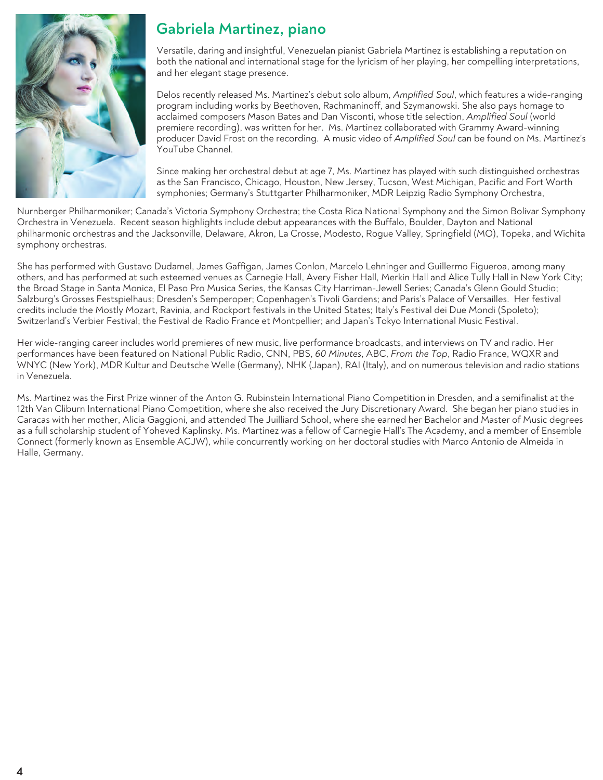

## **Gabriela Martinez, piano**

Versatile, daring and insightful, Venezuelan pianist Gabriela Martinez is establishing a reputation on both the national and international stage for the lyricism of her playing, her compelling interpretations, and her elegant stage presence.

Delos recently released Ms. Martinez's debut solo album, *Amplified Soul*, which features a wide-ranging program including works by Beethoven, Rachmaninoff, and Szymanowski. She also pays homage to acclaimed composers Mason Bates and Dan Visconti, whose title selection, *Amplified Soul* (world premiere recording), was written for her. Ms. Martinez collaborated with Grammy Award-winning producer David Frost on the recording. A music video of *Amplified Soul* can be found on Ms. Martinez's YouTube Channel.

Since making her orchestral debut at age 7, Ms. Martinez has played with such distinguished orchestras as the San Francisco, Chicago, Houston, New Jersey, Tucson, West Michigan, Pacific and Fort Worth symphonies; Germany's Stuttgarter Philharmoniker, MDR Leipzig Radio Symphony Orchestra,

Nurnberger Philharmoniker; Canada's Victoria Symphony Orchestra; the Costa Rica National Symphony and the Simon Bolivar Symphony Orchestra in Venezuela. Recent season highlights include debut appearances with the Buffalo, Boulder, Dayton and National philharmonic orchestras and the Jacksonville, Delaware, Akron, La Crosse, Modesto, Rogue Valley, Springfield (MO), Topeka, and Wichita symphony orchestras.

She has performed with Gustavo Dudamel, James Gaffigan, James Conlon, Marcelo Lehninger and Guillermo Figueroa, among many others, and has performed at such esteemed venues as Carnegie Hall, Avery Fisher Hall, Merkin Hall and Alice Tully Hall in New York City; the Broad Stage in Santa Monica, El Paso Pro Musica Series, the Kansas City Harriman-Jewell Series; Canada's Glenn Gould Studio; Salzburg's Grosses Festspielhaus; Dresden's Semperoper; Copenhagen's Tivoli Gardens; and Paris's Palace of Versailles. Her festival credits include the Mostly Mozart, Ravinia, and Rockport festivals in the United States; Italy's Festival dei Due Mondi (Spoleto); Switzerland's Verbier Festival; the Festival de Radio France et Montpellier; and Japan's Tokyo International Music Festival.

Her wide-ranging career includes world premieres of new music, live performance broadcasts, and interviews on TV and radio. Her performances have been featured on National Public Radio, CNN, PBS, *60 Minutes*, ABC, *From the Top*, Radio France, WQXR and WNYC (New York), MDR Kultur and Deutsche Welle (Germany), NHK (Japan), RAI (Italy), and on numerous television and radio stations in Venezuela.

Ms. Martinez was the First Prize winner of the Anton G. Rubinstein International Piano Competition in Dresden, and a semifinalist at the 12th Van Cliburn International Piano Competition, where she also received the Jury Discretionary Award. She began her piano studies in Caracas with her mother, Alicia Gaggioni, and attended The Juilliard School, where she earned her Bachelor and Master of Music degrees as a full scholarship student of Yoheved Kaplinsky. Ms. Martinez was a fellow of Carnegie Hall's The Academy, and a member of Ensemble Connect (formerly known as Ensemble ACJW), while concurrently working on her doctoral studies with Marco Antonio de Almeida in Halle, Germany.